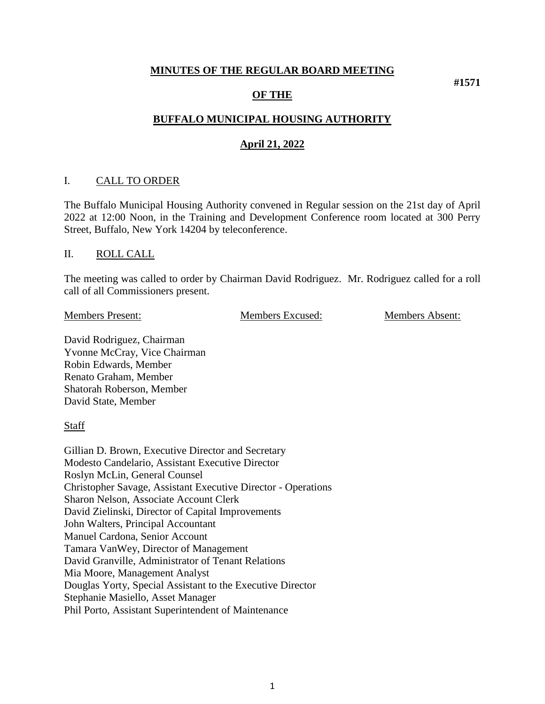#### **MINUTES OF THE REGULAR BOARD MEETING**

### **OF THE**

# **BUFFALO MUNICIPAL HOUSING AUTHORITY**

### **April 21, 2022**

#### I. CALL TO ORDER

The Buffalo Municipal Housing Authority convened in Regular session on the 21st day of April 2022 at 12:00 Noon, in the Training and Development Conference room located at 300 Perry Street, Buffalo, New York 14204 by teleconference.

#### II. ROLL CALL

The meeting was called to order by Chairman David Rodriguez. Mr. Rodriguez called for a roll call of all Commissioners present.

Members Present: Members Excused: Members Absent:

**#1571**

David Rodriguez, Chairman Yvonne McCray, Vice Chairman Robin Edwards, Member Renato Graham, Member Shatorah Roberson, Member David State, Member

**Staff** 

Gillian D. Brown, Executive Director and Secretary Modesto Candelario, Assistant Executive Director Roslyn McLin, General Counsel Christopher Savage, Assistant Executive Director - Operations Sharon Nelson, Associate Account Clerk David Zielinski, Director of Capital Improvements John Walters, Principal Accountant Manuel Cardona, Senior Account Tamara VanWey, Director of Management David Granville, Administrator of Tenant Relations Mia Moore, Management Analyst Douglas Yorty, Special Assistant to the Executive Director Stephanie Masiello, Asset Manager Phil Porto, Assistant Superintendent of Maintenance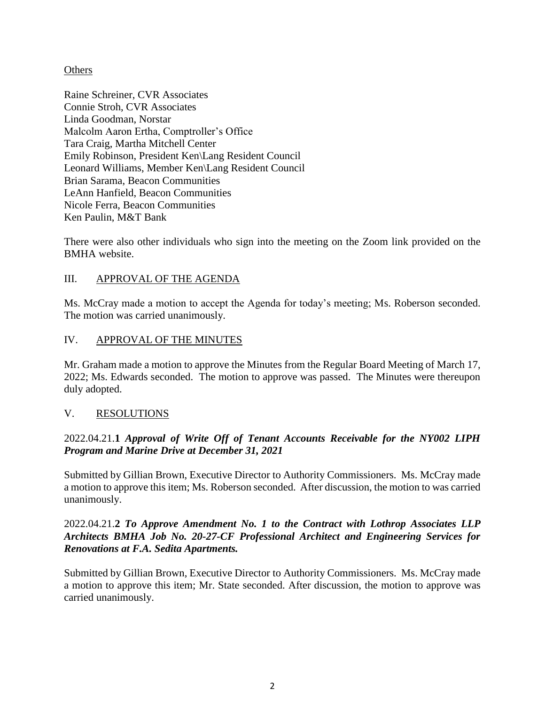### **Others**

Raine Schreiner, CVR Associates Connie Stroh, CVR Associates Linda Goodman, Norstar Malcolm Aaron Ertha, Comptroller's Office Tara Craig, Martha Mitchell Center Emily Robinson, President Ken\Lang Resident Council Leonard Williams, Member Ken\Lang Resident Council Brian Sarama, Beacon Communities LeAnn Hanfield, Beacon Communities Nicole Ferra, Beacon Communities Ken Paulin, M&T Bank

There were also other individuals who sign into the meeting on the Zoom link provided on the BMHA website.

## III. APPROVAL OF THE AGENDA

Ms. McCray made a motion to accept the Agenda for today's meeting; Ms. Roberson seconded. The motion was carried unanimously.

### IV. APPROVAL OF THE MINUTES

Mr. Graham made a motion to approve the Minutes from the Regular Board Meeting of March 17, 2022; Ms. Edwards seconded. The motion to approve was passed. The Minutes were thereupon duly adopted.

#### V. RESOLUTIONS

## 2022.04.21.**1** *Approval of Write Off of Tenant Accounts Receivable for the NY002 LIPH Program and Marine Drive at December 31, 2021*

Submitted by Gillian Brown, Executive Director to Authority Commissioners. Ms. McCray made a motion to approve this item; Ms. Roberson seconded. After discussion, the motion to was carried unanimously.

## 2022.04.21.**2** *To Approve Amendment No. 1 to the Contract with Lothrop Associates LLP Architects BMHA Job No. 20-27-CF Professional Architect and Engineering Services for Renovations at F.A. Sedita Apartments.*

Submitted by Gillian Brown, Executive Director to Authority Commissioners. Ms. McCray made a motion to approve this item; Mr. State seconded. After discussion, the motion to approve was carried unanimously.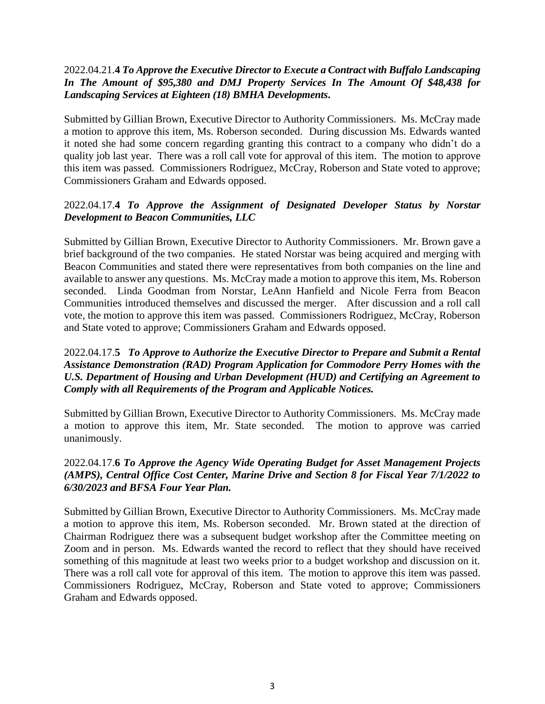## 2022.04.21.**4** *To Approve the Executive Director to Execute a Contract with Buffalo Landscaping In The Amount of \$95,380 and DMJ Property Services In The Amount Of \$48,438 for Landscaping Services at Eighteen (18) BMHA Developments***.**

Submitted by Gillian Brown, Executive Director to Authority Commissioners. Ms. McCray made a motion to approve this item, Ms. Roberson seconded. During discussion Ms. Edwards wanted it noted she had some concern regarding granting this contract to a company who didn't do a quality job last year. There was a roll call vote for approval of this item. The motion to approve this item was passed. Commissioners Rodriguez, McCray, Roberson and State voted to approve; Commissioners Graham and Edwards opposed.

## 2022.04.17.**4** *To Approve the Assignment of Designated Developer Status by Norstar Development to Beacon Communities, LLC*

Submitted by Gillian Brown, Executive Director to Authority Commissioners. Mr. Brown gave a brief background of the two companies. He stated Norstar was being acquired and merging with Beacon Communities and stated there were representatives from both companies on the line and available to answer any questions. Ms. McCray made a motion to approve this item, Ms. Roberson seconded. Linda Goodman from Norstar, LeAnn Hanfield and Nicole Ferra from Beacon Communities introduced themselves and discussed the merger. After discussion and a roll call vote, the motion to approve this item was passed. Commissioners Rodriguez, McCray, Roberson and State voted to approve; Commissioners Graham and Edwards opposed.

### 2022.04.17.**5** *To Approve to Authorize the Executive Director to Prepare and Submit a Rental Assistance Demonstration (RAD) Program Application for Commodore Perry Homes with the U.S. Department of Housing and Urban Development (HUD) and Certifying an Agreement to Comply with all Requirements of the Program and Applicable Notices.*

Submitted by Gillian Brown, Executive Director to Authority Commissioners. Ms. McCray made a motion to approve this item, Mr. State seconded. The motion to approve was carried unanimously.

## 2022.04.17.**6** *To Approve the Agency Wide Operating Budget for Asset Management Projects (AMPS), Central Office Cost Center, Marine Drive and Section 8 for Fiscal Year 7/1/2022 to 6/30/2023 and BFSA Four Year Plan.*

Submitted by Gillian Brown, Executive Director to Authority Commissioners. Ms. McCray made a motion to approve this item, Ms. Roberson seconded. Mr. Brown stated at the direction of Chairman Rodriguez there was a subsequent budget workshop after the Committee meeting on Zoom and in person. Ms. Edwards wanted the record to reflect that they should have received something of this magnitude at least two weeks prior to a budget workshop and discussion on it. There was a roll call vote for approval of this item. The motion to approve this item was passed. Commissioners Rodriguez, McCray, Roberson and State voted to approve; Commissioners Graham and Edwards opposed.